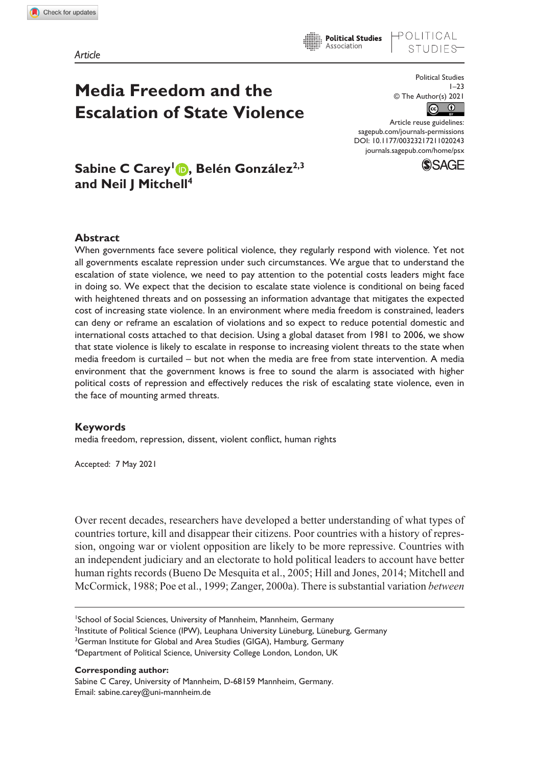OLITICAL

# **Media Freedom and the Escalation of State Violence**

Political Studies  $1 - 23$ © The Author(s) 2021  $\odot$  $\odot$ 

DOI: 10.1177/00323217211020243 Article reuse guidelines: [sagepub.com/journals-permissions](https://uk.sagepub.com/en-gb/journals-permissions) [journals.sagepub.com/home/psx](https://journals.sagepub.com/home/psx)



## Sabine C Carey<sup>1</sup> **D**, Belén González<sup>2,3</sup> **and Neil J Mitchell4**

#### **Abstract**

When governments face severe political violence, they regularly respond with violence. Yet not all governments escalate repression under such circumstances. We argue that to understand the escalation of state violence, we need to pay attention to the potential costs leaders might face in doing so. We expect that the decision to escalate state violence is conditional on being faced with heightened threats and on possessing an information advantage that mitigates the expected cost of increasing state violence. In an environment where media freedom is constrained, leaders can deny or reframe an escalation of violations and so expect to reduce potential domestic and international costs attached to that decision. Using a global dataset from 1981 to 2006, we show that state violence is likely to escalate in response to increasing violent threats to the state when media freedom is curtailed – but not when the media are free from state intervention. A media environment that the government knows is free to sound the alarm is associated with higher political costs of repression and effectively reduces the risk of escalating state violence, even in the face of mounting armed threats.

#### **Keywords**

media freedom, repression, dissent, violent conflict, human rights

Accepted: 7 May 2021

Over recent decades, researchers have developed a better understanding of what types of countries torture, kill and disappear their citizens. Poor countries with a history of repression, ongoing war or violent opposition are likely to be more repressive. Countries with an independent judiciary and an electorate to hold political leaders to account have better human rights records (Bueno De Mesquita et al., 2005; Hill and Jones, 2014; Mitchell and McCormick, 1988; Poe et al., 1999; Zanger, 2000a). There is substantial variation *between*

1 School of Social Sciences, University of Mannheim, Mannheim, Germany <sup>2</sup>Institute of Political Science (IPW), Leuphana University Lüneburg, Lüneburg, Germany <sup>3</sup>German Institute for Global and Area Studies (GIGA), Hamburg, Germany <sup>4</sup>Department of Political Science, University College London, London, UK

#### **Corresponding author:**

Sabine C Carey, University of Mannheim, D-68159 Mannheim, Germany. Email: [sabine.carey@uni-mannheim.de](mailto:sabine.carey@uni-mannheim.de)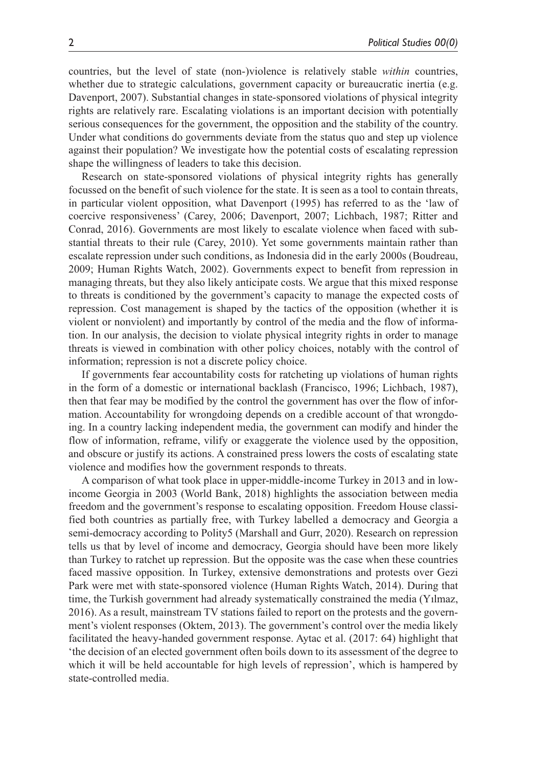countries, but the level of state (non-)violence is relatively stable *within* countries, whether due to strategic calculations, government capacity or bureaucratic inertia (e.g. Davenport, 2007). Substantial changes in state-sponsored violations of physical integrity rights are relatively rare. Escalating violations is an important decision with potentially serious consequences for the government, the opposition and the stability of the country. Under what conditions do governments deviate from the status quo and step up violence against their population? We investigate how the potential costs of escalating repression shape the willingness of leaders to take this decision.

Research on state-sponsored violations of physical integrity rights has generally focussed on the benefit of such violence for the state. It is seen as a tool to contain threats, in particular violent opposition, what Davenport (1995) has referred to as the 'law of coercive responsiveness' (Carey, 2006; Davenport, 2007; Lichbach, 1987; Ritter and Conrad, 2016). Governments are most likely to escalate violence when faced with substantial threats to their rule (Carey, 2010). Yet some governments maintain rather than escalate repression under such conditions, as Indonesia did in the early 2000s (Boudreau, 2009; Human Rights Watch, 2002). Governments expect to benefit from repression in managing threats, but they also likely anticipate costs. We argue that this mixed response to threats is conditioned by the government's capacity to manage the expected costs of repression. Cost management is shaped by the tactics of the opposition (whether it is violent or nonviolent) and importantly by control of the media and the flow of information. In our analysis, the decision to violate physical integrity rights in order to manage threats is viewed in combination with other policy choices, notably with the control of information; repression is not a discrete policy choice.

If governments fear accountability costs for ratcheting up violations of human rights in the form of a domestic or international backlash (Francisco, 1996; Lichbach, 1987), then that fear may be modified by the control the government has over the flow of information. Accountability for wrongdoing depends on a credible account of that wrongdoing. In a country lacking independent media, the government can modify and hinder the flow of information, reframe, vilify or exaggerate the violence used by the opposition, and obscure or justify its actions. A constrained press lowers the costs of escalating state violence and modifies how the government responds to threats.

A comparison of what took place in upper-middle-income Turkey in 2013 and in lowincome Georgia in 2003 (World Bank, 2018) highlights the association between media freedom and the government's response to escalating opposition. Freedom House classified both countries as partially free, with Turkey labelled a democracy and Georgia a semi-democracy according to Polity5 (Marshall and Gurr, 2020). Research on repression tells us that by level of income and democracy, Georgia should have been more likely than Turkey to ratchet up repression. But the opposite was the case when these countries faced massive opposition. In Turkey, extensive demonstrations and protests over Gezi Park were met with state-sponsored violence (Human Rights Watch, 2014). During that time, the Turkish government had already systematically constrained the media (Yılmaz, 2016). As a result, mainstream TV stations failed to report on the protests and the government's violent responses (Oktem, 2013). The government's control over the media likely facilitated the heavy-handed government response. Aytac et al. (2017: 64) highlight that 'the decision of an elected government often boils down to its assessment of the degree to which it will be held accountable for high levels of repression', which is hampered by state-controlled media.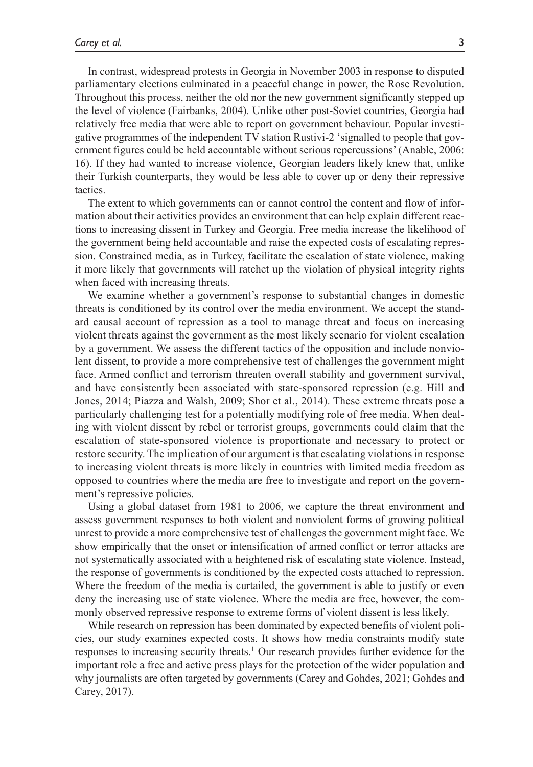In contrast, widespread protests in Georgia in November 2003 in response to disputed parliamentary elections culminated in a peaceful change in power, the Rose Revolution. Throughout this process, neither the old nor the new government significantly stepped up the level of violence (Fairbanks, 2004). Unlike other post-Soviet countries, Georgia had relatively free media that were able to report on government behaviour. Popular investigative programmes of the independent TV station Rustivi-2 'signalled to people that government figures could be held accountable without serious repercussions' (Anable, 2006: 16). If they had wanted to increase violence, Georgian leaders likely knew that, unlike their Turkish counterparts, they would be less able to cover up or deny their repressive tactics.

The extent to which governments can or cannot control the content and flow of information about their activities provides an environment that can help explain different reactions to increasing dissent in Turkey and Georgia. Free media increase the likelihood of the government being held accountable and raise the expected costs of escalating repression. Constrained media, as in Turkey, facilitate the escalation of state violence, making it more likely that governments will ratchet up the violation of physical integrity rights when faced with increasing threats.

We examine whether a government's response to substantial changes in domestic threats is conditioned by its control over the media environment. We accept the standard causal account of repression as a tool to manage threat and focus on increasing violent threats against the government as the most likely scenario for violent escalation by a government. We assess the different tactics of the opposition and include nonviolent dissent, to provide a more comprehensive test of challenges the government might face. Armed conflict and terrorism threaten overall stability and government survival, and have consistently been associated with state-sponsored repression (e.g. Hill and Jones, 2014; Piazza and Walsh, 2009; Shor et al., 2014). These extreme threats pose a particularly challenging test for a potentially modifying role of free media. When dealing with violent dissent by rebel or terrorist groups, governments could claim that the escalation of state-sponsored violence is proportionate and necessary to protect or restore security. The implication of our argument is that escalating violations in response to increasing violent threats is more likely in countries with limited media freedom as opposed to countries where the media are free to investigate and report on the government's repressive policies.

Using a global dataset from 1981 to 2006, we capture the threat environment and assess government responses to both violent and nonviolent forms of growing political unrest to provide a more comprehensive test of challenges the government might face. We show empirically that the onset or intensification of armed conflict or terror attacks are not systematically associated with a heightened risk of escalating state violence. Instead, the response of governments is conditioned by the expected costs attached to repression. Where the freedom of the media is curtailed, the government is able to justify or even deny the increasing use of state violence. Where the media are free, however, the commonly observed repressive response to extreme forms of violent dissent is less likely.

While research on repression has been dominated by expected benefits of violent policies, our study examines expected costs. It shows how media constraints modify state responses to increasing security threats.<sup>1</sup> Our research provides further evidence for the important role a free and active press plays for the protection of the wider population and why journalists are often targeted by governments (Carey and Gohdes, 2021; Gohdes and Carey, 2017).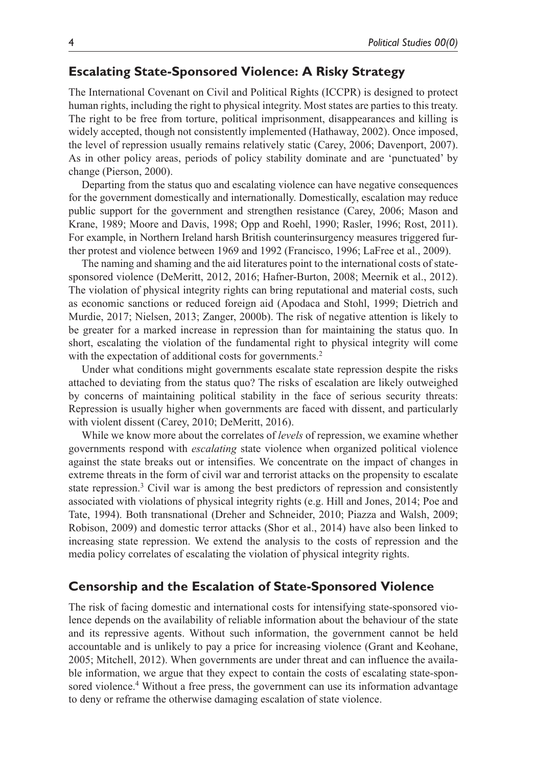## **Escalating State-Sponsored Violence: A Risky Strategy**

The International Covenant on Civil and Political Rights (ICCPR) is designed to protect human rights, including the right to physical integrity. Most states are parties to this treaty. The right to be free from torture, political imprisonment, disappearances and killing is widely accepted, though not consistently implemented (Hathaway, 2002). Once imposed, the level of repression usually remains relatively static (Carey, 2006; Davenport, 2007). As in other policy areas, periods of policy stability dominate and are 'punctuated' by change (Pierson, 2000).

Departing from the status quo and escalating violence can have negative consequences for the government domestically and internationally. Domestically, escalation may reduce public support for the government and strengthen resistance (Carey, 2006; Mason and Krane, 1989; Moore and Davis, 1998; Opp and Roehl, 1990; Rasler, 1996; Rost, 2011). For example, in Northern Ireland harsh British counterinsurgency measures triggered further protest and violence between 1969 and 1992 (Francisco, 1996; LaFree et al., 2009).

The naming and shaming and the aid literatures point to the international costs of statesponsored violence (DeMeritt, 2012, 2016; Hafner-Burton, 2008; Meernik et al., 2012). The violation of physical integrity rights can bring reputational and material costs, such as economic sanctions or reduced foreign aid (Apodaca and Stohl, 1999; Dietrich and Murdie, 2017; Nielsen, 2013; Zanger, 2000b). The risk of negative attention is likely to be greater for a marked increase in repression than for maintaining the status quo. In short, escalating the violation of the fundamental right to physical integrity will come with the expectation of additional costs for governments.<sup>2</sup>

Under what conditions might governments escalate state repression despite the risks attached to deviating from the status quo? The risks of escalation are likely outweighed by concerns of maintaining political stability in the face of serious security threats: Repression is usually higher when governments are faced with dissent, and particularly with violent dissent (Carey, 2010; DeMeritt, 2016).

While we know more about the correlates of *levels* of repression, we examine whether governments respond with *escalating* state violence when organized political violence against the state breaks out or intensifies. We concentrate on the impact of changes in extreme threats in the form of civil war and terrorist attacks on the propensity to escalate state repression.<sup>3</sup> Civil war is among the best predictors of repression and consistently associated with violations of physical integrity rights (e.g. Hill and Jones, 2014; Poe and Tate, 1994). Both transnational (Dreher and Schneider, 2010; Piazza and Walsh, 2009; Robison, 2009) and domestic terror attacks (Shor et al., 2014) have also been linked to increasing state repression. We extend the analysis to the costs of repression and the media policy correlates of escalating the violation of physical integrity rights.

## **Censorship and the Escalation of State-Sponsored Violence**

The risk of facing domestic and international costs for intensifying state-sponsored violence depends on the availability of reliable information about the behaviour of the state and its repressive agents. Without such information, the government cannot be held accountable and is unlikely to pay a price for increasing violence (Grant and Keohane, 2005; Mitchell, 2012). When governments are under threat and can influence the available information, we argue that they expect to contain the costs of escalating state-sponsored violence.<sup>4</sup> Without a free press, the government can use its information advantage to deny or reframe the otherwise damaging escalation of state violence.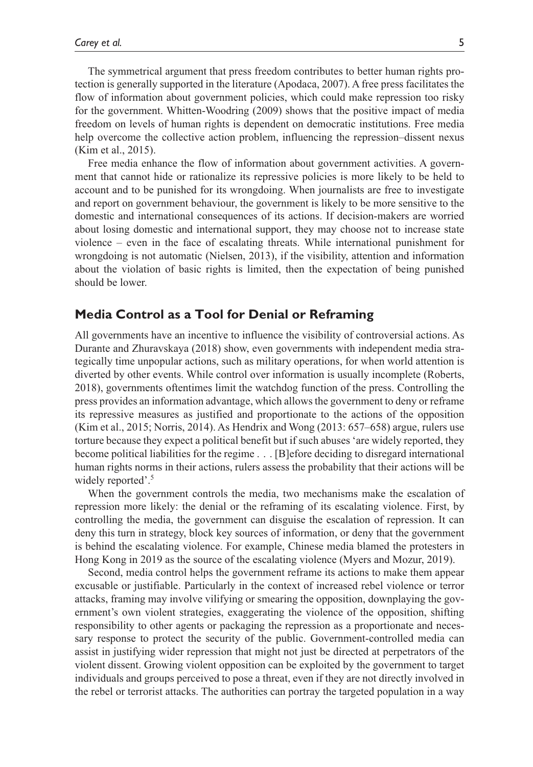The symmetrical argument that press freedom contributes to better human rights protection is generally supported in the literature (Apodaca, 2007). A free press facilitates the flow of information about government policies, which could make repression too risky for the government. Whitten-Woodring (2009) shows that the positive impact of media freedom on levels of human rights is dependent on democratic institutions. Free media help overcome the collective action problem, influencing the repression–dissent nexus (Kim et al., 2015).

Free media enhance the flow of information about government activities. A government that cannot hide or rationalize its repressive policies is more likely to be held to account and to be punished for its wrongdoing. When journalists are free to investigate and report on government behaviour, the government is likely to be more sensitive to the domestic and international consequences of its actions. If decision-makers are worried about losing domestic and international support, they may choose not to increase state violence – even in the face of escalating threats. While international punishment for wrongdoing is not automatic (Nielsen, 2013), if the visibility, attention and information about the violation of basic rights is limited, then the expectation of being punished should be lower.

## **Media Control as a Tool for Denial or Reframing**

All governments have an incentive to influence the visibility of controversial actions. As Durante and Zhuravskaya (2018) show, even governments with independent media strategically time unpopular actions, such as military operations, for when world attention is diverted by other events. While control over information is usually incomplete (Roberts, 2018), governments oftentimes limit the watchdog function of the press. Controlling the press provides an information advantage, which allows the government to deny or reframe its repressive measures as justified and proportionate to the actions of the opposition (Kim et al., 2015; Norris, 2014). As Hendrix and Wong (2013: 657–658) argue, rulers use torture because they expect a political benefit but if such abuses 'are widely reported, they become political liabilities for the regime . . . [B]efore deciding to disregard international human rights norms in their actions, rulers assess the probability that their actions will be widely reported'.<sup>5</sup>

When the government controls the media, two mechanisms make the escalation of repression more likely: the denial or the reframing of its escalating violence. First, by controlling the media, the government can disguise the escalation of repression. It can deny this turn in strategy, block key sources of information, or deny that the government is behind the escalating violence. For example, Chinese media blamed the protesters in Hong Kong in 2019 as the source of the escalating violence (Myers and Mozur, 2019).

Second, media control helps the government reframe its actions to make them appear excusable or justifiable. Particularly in the context of increased rebel violence or terror attacks, framing may involve vilifying or smearing the opposition, downplaying the government's own violent strategies, exaggerating the violence of the opposition, shifting responsibility to other agents or packaging the repression as a proportionate and necessary response to protect the security of the public. Government-controlled media can assist in justifying wider repression that might not just be directed at perpetrators of the violent dissent. Growing violent opposition can be exploited by the government to target individuals and groups perceived to pose a threat, even if they are not directly involved in the rebel or terrorist attacks. The authorities can portray the targeted population in a way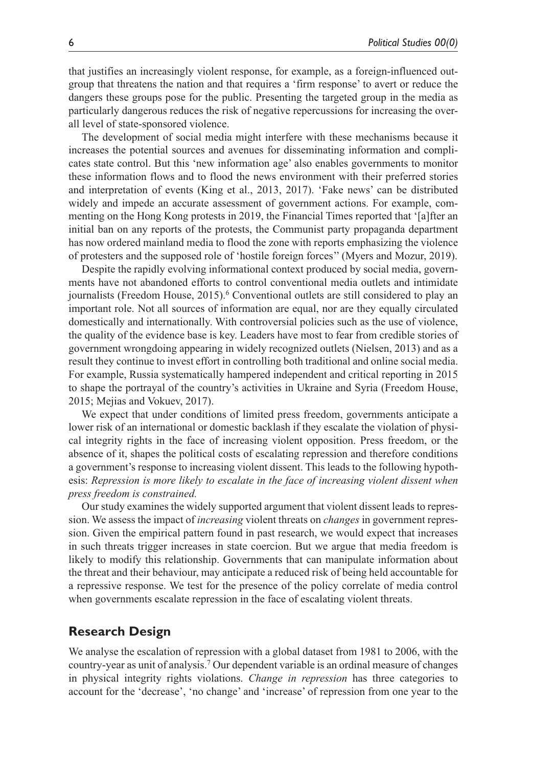that justifies an increasingly violent response, for example, as a foreign-influenced outgroup that threatens the nation and that requires a 'firm response' to avert or reduce the dangers these groups pose for the public. Presenting the targeted group in the media as particularly dangerous reduces the risk of negative repercussions for increasing the overall level of state-sponsored violence.

The development of social media might interfere with these mechanisms because it increases the potential sources and avenues for disseminating information and complicates state control. But this 'new information age' also enables governments to monitor these information flows and to flood the news environment with their preferred stories and interpretation of events (King et al., 2013, 2017). 'Fake news' can be distributed widely and impede an accurate assessment of government actions. For example, commenting on the Hong Kong protests in 2019, the Financial Times reported that '[a]fter an initial ban on any reports of the protests, the Communist party propaganda department has now ordered mainland media to flood the zone with reports emphasizing the violence of protesters and the supposed role of 'hostile foreign forces'' (Myers and Mozur, 2019).

Despite the rapidly evolving informational context produced by social media, governments have not abandoned efforts to control conventional media outlets and intimidate journalists (Freedom House, 2015).<sup>6</sup> Conventional outlets are still considered to play an important role. Not all sources of information are equal, nor are they equally circulated domestically and internationally. With controversial policies such as the use of violence, the quality of the evidence base is key. Leaders have most to fear from credible stories of government wrongdoing appearing in widely recognized outlets (Nielsen, 2013) and as a result they continue to invest effort in controlling both traditional and online social media. For example, Russia systematically hampered independent and critical reporting in 2015 to shape the portrayal of the country's activities in Ukraine and Syria (Freedom House, 2015; Mejias and Vokuev, 2017).

We expect that under conditions of limited press freedom, governments anticipate a lower risk of an international or domestic backlash if they escalate the violation of physical integrity rights in the face of increasing violent opposition. Press freedom, or the absence of it, shapes the political costs of escalating repression and therefore conditions a government's response to increasing violent dissent. This leads to the following hypothesis: *Repression is more likely to escalate in the face of increasing violent dissent when press freedom is constrained.*

Our study examines the widely supported argument that violent dissent leads to repression. We assess the impact of *increasing* violent threats on *changes* in government repression. Given the empirical pattern found in past research, we would expect that increases in such threats trigger increases in state coercion. But we argue that media freedom is likely to modify this relationship. Governments that can manipulate information about the threat and their behaviour, may anticipate a reduced risk of being held accountable for a repressive response. We test for the presence of the policy correlate of media control when governments escalate repression in the face of escalating violent threats.

## **Research Design**

We analyse the escalation of repression with a global dataset from 1981 to 2006, with the country-year as unit of analysis.7 Our dependent variable is an ordinal measure of changes in physical integrity rights violations. *Change in repression* has three categories to account for the 'decrease', 'no change' and 'increase' of repression from one year to the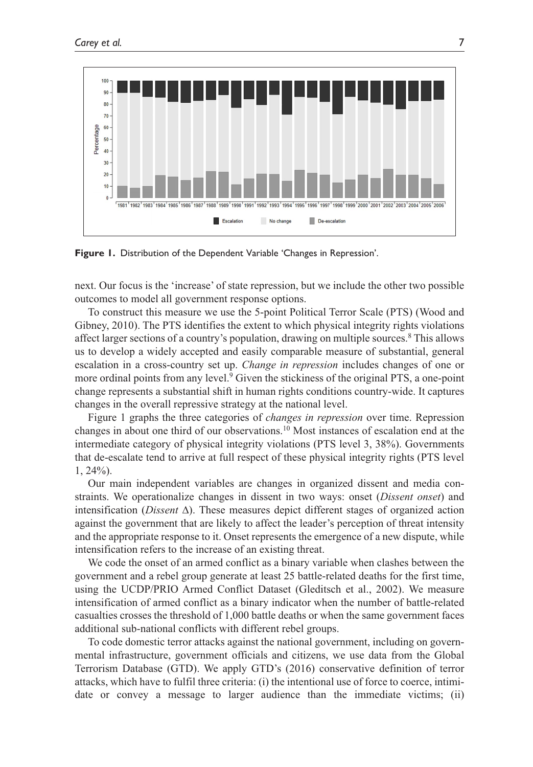

**Figure 1.** Distribution of the Dependent Variable 'Changes in Repression'.

next. Our focus is the 'increase' of state repression, but we include the other two possible outcomes to model all government response options.

To construct this measure we use the 5-point Political Terror Scale (PTS) (Wood and Gibney, 2010). The PTS identifies the extent to which physical integrity rights violations affect larger sections of a country's population, drawing on multiple sources.<sup>8</sup> This allows us to develop a widely accepted and easily comparable measure of substantial, general escalation in a cross-country set up. *Change in repression* includes changes of one or more ordinal points from any level.<sup>9</sup> Given the stickiness of the original PTS, a one-point change represents a substantial shift in human rights conditions country-wide. It captures changes in the overall repressive strategy at the national level.

Figure 1 graphs the three categories of *changes in repression* over time. Repression changes in about one third of our observations.10 Most instances of escalation end at the intermediate category of physical integrity violations (PTS level 3, 38%). Governments that de-escalate tend to arrive at full respect of these physical integrity rights (PTS level 1, 24%).

Our main independent variables are changes in organized dissent and media constraints. We operationalize changes in dissent in two ways: onset (*Dissent onset*) and intensification (*Dissent* ∆). These measures depict different stages of organized action against the government that are likely to affect the leader's perception of threat intensity and the appropriate response to it. Onset represents the emergence of a new dispute, while intensification refers to the increase of an existing threat.

We code the onset of an armed conflict as a binary variable when clashes between the government and a rebel group generate at least 25 battle-related deaths for the first time, using the UCDP/PRIO Armed Conflict Dataset (Gleditsch et al., 2002). We measure intensification of armed conflict as a binary indicator when the number of battle-related casualties crosses the threshold of 1,000 battle deaths or when the same government faces additional sub-national conflicts with different rebel groups.

To code domestic terror attacks against the national government, including on governmental infrastructure, government officials and citizens, we use data from the Global Terrorism Database (GTD). We apply GTD's (2016) conservative definition of terror attacks, which have to fulfil three criteria: (i) the intentional use of force to coerce, intimidate or convey a message to larger audience than the immediate victims; (ii)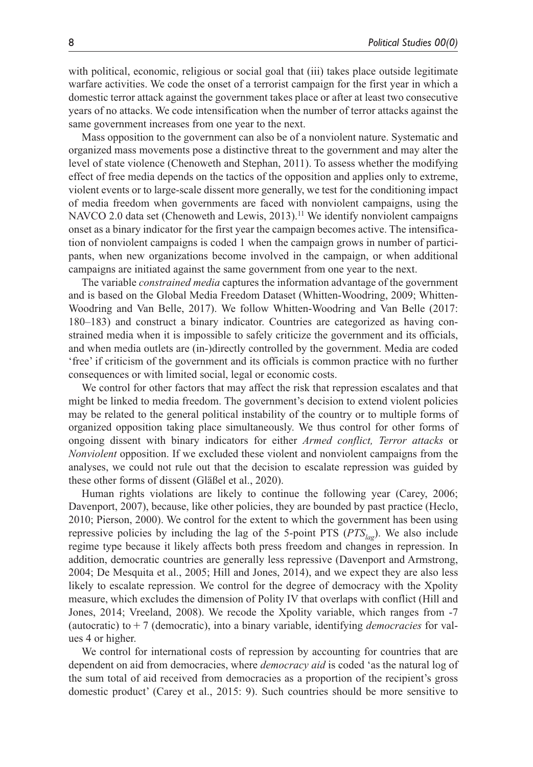with political, economic, religious or social goal that (iii) takes place outside legitimate warfare activities. We code the onset of a terrorist campaign for the first year in which a domestic terror attack against the government takes place or after at least two consecutive years of no attacks. We code intensification when the number of terror attacks against the same government increases from one year to the next.

Mass opposition to the government can also be of a nonviolent nature. Systematic and organized mass movements pose a distinctive threat to the government and may alter the level of state violence (Chenoweth and Stephan, 2011). To assess whether the modifying effect of free media depends on the tactics of the opposition and applies only to extreme, violent events or to large-scale dissent more generally, we test for the conditioning impact of media freedom when governments are faced with nonviolent campaigns, using the NAVCO 2.0 data set (Chenoweth and Lewis, 2013).<sup>11</sup> We identify nonviolent campaigns onset as a binary indicator for the first year the campaign becomes active. The intensification of nonviolent campaigns is coded 1 when the campaign grows in number of participants, when new organizations become involved in the campaign, or when additional campaigns are initiated against the same government from one year to the next.

The variable *constrained media* captures the information advantage of the government and is based on the Global Media Freedom Dataset (Whitten-Woodring, 2009; Whitten-Woodring and Van Belle, 2017). We follow Whitten-Woodring and Van Belle (2017: 180–183) and construct a binary indicator. Countries are categorized as having constrained media when it is impossible to safely criticize the government and its officials, and when media outlets are (in-)directly controlled by the government. Media are coded 'free' if criticism of the government and its officials is common practice with no further consequences or with limited social, legal or economic costs.

We control for other factors that may affect the risk that repression escalates and that might be linked to media freedom. The government's decision to extend violent policies may be related to the general political instability of the country or to multiple forms of organized opposition taking place simultaneously. We thus control for other forms of ongoing dissent with binary indicators for either *Armed conflict, Terror attacks* or *Nonviolent* opposition. If we excluded these violent and nonviolent campaigns from the analyses, we could not rule out that the decision to escalate repression was guided by these other forms of dissent (Gläßel et al., 2020).

Human rights violations are likely to continue the following year (Carey, 2006; Davenport, 2007), because, like other policies, they are bounded by past practice (Heclo, 2010; Pierson, 2000). We control for the extent to which the government has been using repressive policies by including the lag of the 5-point PTS  $(PTS<sub>las</sub>)$ . We also include regime type because it likely affects both press freedom and changes in repression. In addition, democratic countries are generally less repressive (Davenport and Armstrong, 2004; De Mesquita et al., 2005; Hill and Jones, 2014), and we expect they are also less likely to escalate repression. We control for the degree of democracy with the Xpolity measure, which excludes the dimension of Polity IV that overlaps with conflict (Hill and Jones, 2014; Vreeland, 2008). We recode the Xpolity variable, which ranges from -7 (autocratic) to+7 (democratic), into a binary variable, identifying *democracies* for values 4 or higher.

We control for international costs of repression by accounting for countries that are dependent on aid from democracies, where *democracy aid* is coded 'as the natural log of the sum total of aid received from democracies as a proportion of the recipient's gross domestic product' (Carey et al., 2015: 9). Such countries should be more sensitive to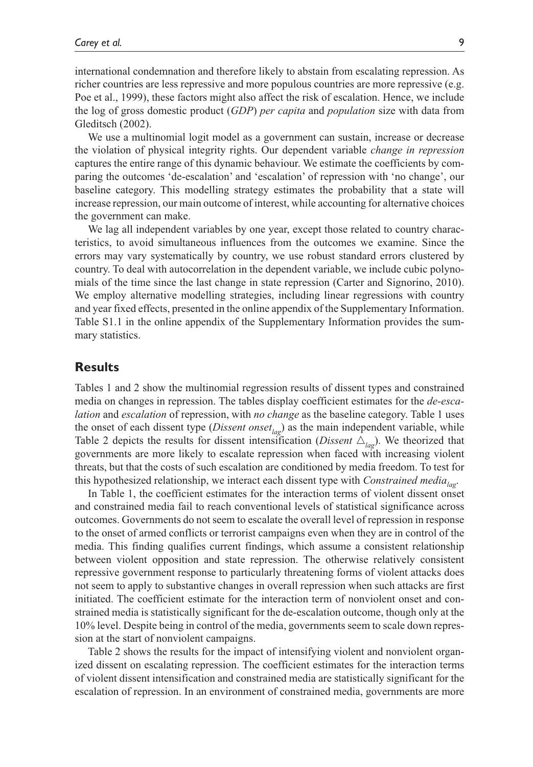international condemnation and therefore likely to abstain from escalating repression. As richer countries are less repressive and more populous countries are more repressive (e.g. Poe et al., 1999), these factors might also affect the risk of escalation. Hence, we include the log of gross domestic product (*GDP*) *per capita* and *population* size with data from Gleditsch (2002).

We use a multinomial logit model as a government can sustain, increase or decrease the violation of physical integrity rights. Our dependent variable *change in repression* captures the entire range of this dynamic behaviour. We estimate the coefficients by comparing the outcomes 'de-escalation' and 'escalation' of repression with 'no change', our baseline category. This modelling strategy estimates the probability that a state will increase repression, our main outcome of interest, while accounting for alternative choices the government can make.

We lag all independent variables by one year, except those related to country characteristics, to avoid simultaneous influences from the outcomes we examine. Since the errors may vary systematically by country, we use robust standard errors clustered by country. To deal with autocorrelation in the dependent variable, we include cubic polynomials of the time since the last change in state repression (Carter and Signorino, 2010). We employ alternative modelling strategies, including linear regressions with country and year fixed effects, presented in the online appendix of the Supplementary Information. Table S1.1 in the online appendix of the Supplementary Information provides the summary statistics.

## **Results**

Tables 1 and 2 show the multinomial regression results of dissent types and constrained media on changes in repression. The tables display coefficient estimates for the *de-escalation* and *escalation* of repression, with *no change* as the baseline category. Table 1 uses the onset of each dissent type (*Dissent onset<sub>lag</sub>*) as the main independent variable, while Table 2 depicts the results for dissent intensification (*Dissent*  $\Delta_{lag}$ ). We theorized that governments are more likely to escalate repression when faced with increasing violent threats, but that the costs of such escalation are conditioned by media freedom. To test for this hypothesized relationship, we interact each dissent type with *Constrained media*<sub>lag</sub>.

In Table 1, the coefficient estimates for the interaction terms of violent dissent onset and constrained media fail to reach conventional levels of statistical significance across outcomes. Governments do not seem to escalate the overall level of repression in response to the onset of armed conflicts or terrorist campaigns even when they are in control of the media. This finding qualifies current findings, which assume a consistent relationship between violent opposition and state repression. The otherwise relatively consistent repressive government response to particularly threatening forms of violent attacks does not seem to apply to substantive changes in overall repression when such attacks are first initiated. The coefficient estimate for the interaction term of nonviolent onset and constrained media is statistically significant for the de-escalation outcome, though only at the 10% level. Despite being in control of the media, governments seem to scale down repression at the start of nonviolent campaigns.

Table 2 shows the results for the impact of intensifying violent and nonviolent organized dissent on escalating repression. The coefficient estimates for the interaction terms of violent dissent intensification and constrained media are statistically significant for the escalation of repression. In an environment of constrained media, governments are more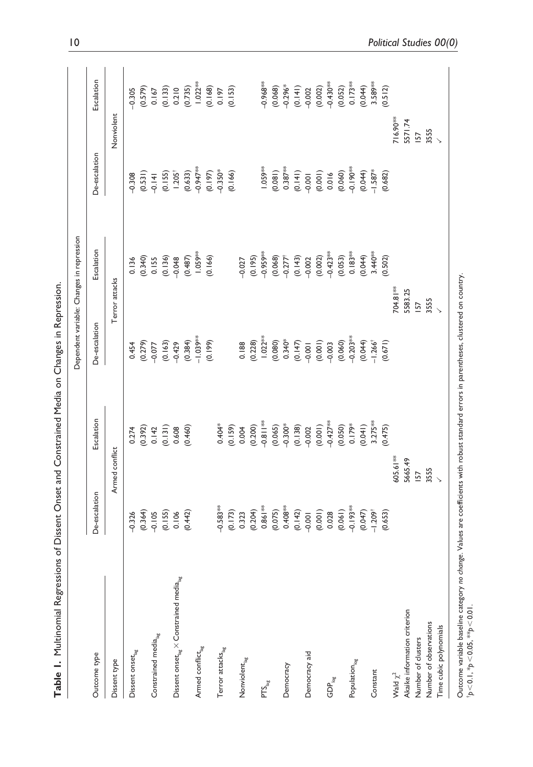| Table I. Multinomial Regressions                                                                |                    |                | of Dissent Onset and Constrained Media on Changes in Repression. |                                           |                                                 |                              |
|-------------------------------------------------------------------------------------------------|--------------------|----------------|------------------------------------------------------------------|-------------------------------------------|-------------------------------------------------|------------------------------|
|                                                                                                 |                    |                |                                                                  | Dependent variable: Changes in repression |                                                 |                              |
| Outcome type                                                                                    | De-escalation      | Escalation     | De-escalation                                                    | Escalation                                | De-escalation                                   | Escalation                   |
| Dissent type                                                                                    |                    | Armed conflict |                                                                  | Terror attacks                            |                                                 | Nonviolent                   |
| Dissent onset <sub>lag</sub>                                                                    | $-0.326$           | 0.274          | 0.454                                                            | 0.136                                     | -0.308                                          | $-0.305$                     |
|                                                                                                 | (0.364)            | (0.392)        |                                                                  | (0.340)                                   | (0.531)                                         | (0.579)                      |
| Constrained media $_{\rm{lag}}$                                                                 | $-0.105$           | 0.142          | (0.279)                                                          | 0.155                                     | $-0.141$                                        | 0.167                        |
|                                                                                                 | (0.155)            | (0.131)        |                                                                  |                                           |                                                 |                              |
| $\mathsf{Dissent}$ onset $_{\text{lag}} \times \mathsf{Constrained}\text{~median}_{\text{lag}}$ | 0.106              | 0.608          | (0.163)                                                          | $(0.136)$<br>-0.048                       | $(0.155)$<br>$1.205^{\dagger}$                  | $(0.133)$<br>0.210<br>0.735) |
|                                                                                                 | (0.442)            | (0.460)        | (0.384)                                                          | (0.487)                                   | (0.633)                                         |                              |
| Armed conflict <sub>lag</sub>                                                                   |                    |                | $-1.039***$                                                      | $1.059***$                                | $-0.947***$                                     | $1.022***$                   |
|                                                                                                 |                    |                | (0.199)                                                          | (0.166)                                   | (0.197)                                         | (0.168)                      |
| Terror attacks <sub>lag</sub>                                                                   | $-0.583***$        | 0.404*         |                                                                  |                                           | $-0.350*$                                       | 0.197                        |
|                                                                                                 | (0.173)            | (0.159)        |                                                                  |                                           | (0.166)                                         | (0.153)                      |
| $\mathsf{Nonviolent}_{\mathsf{lag}}$                                                            | 0.323              | 0.004          | 0.188                                                            | $-0.027$                                  |                                                 |                              |
|                                                                                                 | (0.204)            | (0.200)        | (0.228)                                                          | (0.195)                                   |                                                 |                              |
| PTS <sub>lag</sub>                                                                              | $0.861***$         | $-0.811**$     | $1.022**$                                                        | $-0.959**$                                | $1.059***$                                      | $-0.968**$                   |
|                                                                                                 | (0.075)            |                | (0.080)                                                          |                                           | (0.081)                                         |                              |
| Democracy                                                                                       | $0.408***$         | (0.065)        | $0.340*$                                                         | $(0.068)$<br>-0.277 <sup>+</sup>          | $0.387***$                                      | $(0.068)$<br>-0.296*         |
|                                                                                                 | (0.142)            | (0.138)        | (0.147)                                                          | (0.143)                                   |                                                 |                              |
| Democracy aid                                                                                   | $-0.001$           | $-0.002$       | $-0.001$                                                         | $-0.002$                                  | (0.141)                                         | $(0.141)$<br>-0.002          |
|                                                                                                 | (0.001)            | (0.001)        | (0.001)                                                          | $(0.002)$<br>$-0.423**$                   |                                                 | (0.002)                      |
| $\mathsf{GDP}_\mathsf{log}$                                                                     | 0.028              | $-0.427***$    |                                                                  |                                           | $\begin{array}{c} (0.001) \\ 0.016 \end{array}$ | $-0.430***$                  |
|                                                                                                 | (0.061)            | (0.050)        | (0.060)                                                          | (0.053)                                   | (0.060)                                         | (0.052)                      |
| Population <sub>log</sub>                                                                       | $-0.193**$         | 0.179*         | $-0.203***$                                                      | $0.183**$                                 | $-0.190**$                                      | $0.173***$                   |
|                                                                                                 | (0.047)            | (0.041)        | (0.044)                                                          | $(0.044)$<br>3.440**                      | (0.044)                                         | (0.044)                      |
| Constant                                                                                        | $-1.209^{\dagger}$ | $3.275**$      | $-1.266^{\dagger}$                                               |                                           | $-1.587*$                                       | 3.589**                      |
|                                                                                                 | (0.653)            | (0.475)        | (0.671)                                                          | (0.502)                                   | (0.682)                                         | (0.512)                      |

605.61\*\* 5665.49 **IS7** 3555<br>V

Akaike information criterion

Wald  $\chi^2$ 

Number of observations Time cubic polynomials

Number of clusters

704.81\*\* 5583.25

3555<br>V **157** 

716.90\*\* 5571.74  $157$ 3555  $\ddot{\phantom{1}}$ 

Outcome variable baseline category no change. Values are coefficients with robust standard errors in parentheses, clustered on country.<br>\*p<0.1, \*p<0.05, \*\*p<0.01. Outcome variable baseline category *no change*. Values are coefficients with robust standard errors in parentheses, clustered on country. †*p*<0.1, \**p*<0.05, \*\**p*<0.01.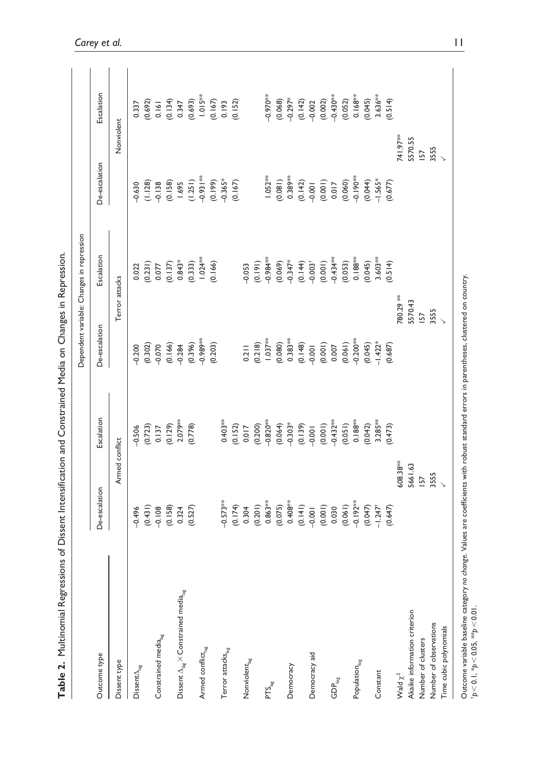|                                                                 |                                  |                                            |                                                   | Dependent variable: Changes in repression |                                                   |                                                                                |
|-----------------------------------------------------------------|----------------------------------|--------------------------------------------|---------------------------------------------------|-------------------------------------------|---------------------------------------------------|--------------------------------------------------------------------------------|
| Outcome type                                                    | De-escalation                    | Escalation                                 | De-escalation                                     | Escalation                                | De-escalation                                     | Escalation                                                                     |
| Dissent type                                                    |                                  | Armed conflict                             |                                                   | Terror attacks                            |                                                   | Nonviolent                                                                     |
| $\mathsf{Dissent}\Delta_{\text{lag}}$                           | $-0.496$                         | $-0.506$                                   |                                                   | 0.022                                     | $-0.630$                                          |                                                                                |
|                                                                 |                                  |                                            |                                                   |                                           |                                                   |                                                                                |
| Constrained media $_{\rm{lag}}$                                 | (0.431)                          |                                            |                                                   | $(0.231)$<br>$0.077$                      | (1.128)                                           |                                                                                |
|                                                                 | (0.158)                          | $(0.723)$<br>0.137<br>$(0.129)$<br>2.079** | $9.302$<br>$0.302$<br>$0.60$<br>$0.60$<br>$0.304$ | (0.137)                                   |                                                   | $\begin{array}{c} 0.337 \\ (0.692) \\ 0.161 \\ (0.134) \\ (0.134) \end{array}$ |
| Dissent $\Delta_{\rm ag} \times$ Constrained media $_{\rm lag}$ | 0.324                            |                                            |                                                   | $0.843*$                                  | (0.158)                                           |                                                                                |
|                                                                 | (0.527)                          | (0.778)                                    |                                                   | $(0.333)$<br>$1.024**$                    |                                                   | $(0.693)$<br>1.015**                                                           |
| Armed conflict <sub>lag</sub>                                   |                                  |                                            |                                                   |                                           | $(1.251)$<br>-0.931 <sup>**</sup>                 |                                                                                |
|                                                                 |                                  |                                            | $(0.396)$<br>$-0.989***$<br>$(0.203)$             | (0.166)                                   |                                                   |                                                                                |
| Terror attacks <sub>lag</sub>                                   | $-0.573***$                      | $0.403***$                                 |                                                   |                                           |                                                   |                                                                                |
|                                                                 |                                  |                                            |                                                   |                                           | $(0.199)$<br>$-0.365*$<br>$(0.167)$               | $(0.167)$<br>0.193<br>$(0.152)$                                                |
| Nonviolent <sub>lag</sub>                                       | $(0.174)$<br>0.304               | $(0.152)$<br>0.017                         | 0.211                                             | -0.053                                    |                                                   |                                                                                |
|                                                                 | (0.201)                          |                                            |                                                   |                                           |                                                   |                                                                                |
| PTS <sub>lag</sub>                                              | $0.863***$                       | $(0.200)$<br>$-0.820***$                   | $(0.218)$<br>$1.037***$                           | $(0.191)$<br>-0.984**                     | $1.052**$                                         |                                                                                |
|                                                                 | $(0.075)$<br>0.408**             | $(0.064)$<br>-0.303*                       |                                                   |                                           | $\begin{array}{c} (0.081) \\ 0.389** \end{array}$ |                                                                                |
| Democracy                                                       |                                  |                                            |                                                   | $(0.069)$<br>-0.347*                      |                                                   |                                                                                |
|                                                                 | $(0.141)$<br>-0.001              |                                            | $(0.080)$<br>$0.383**$<br>$0.148$<br>$-0.001$     |                                           |                                                   | $-0.970**$<br>$(0.068)$<br>$-0.297**$<br>$-0.42)$<br>$-0.022$                  |
| Democracy aid                                                   |                                  | (0.139)                                    |                                                   | (0.144)                                   | (0.142)                                           |                                                                                |
|                                                                 | (0.001)                          | (0.001)                                    | $(0.001)$<br>0.007                                | (0.001)                                   | (0.001)                                           | (0.002)                                                                        |
| $\mathsf{GDP}_\mathsf{log}$                                     | 0.030                            | $-0.432***$                                |                                                   | $-0.434**$                                | 0.017                                             | $-0.430**$                                                                     |
|                                                                 | (0.061)                          | $(0.051)$<br>$0.188***$                    | $(0.061)$<br>-0.200**                             | $(0.053)$<br>$0.188**$                    | (0.060)                                           | (0.052)                                                                        |
| Population $_{\log}$                                            | $-0.192***$                      |                                            |                                                   |                                           | $-0.190**$                                        |                                                                                |
|                                                                 |                                  | (0.042)                                    |                                                   | (0.045)                                   |                                                   |                                                                                |
| Constant                                                        | $(0.047)$<br>-1.247 <sup>+</sup> | $3.285**$                                  | $(0.045)$<br>-1.422*                              | $3.603**$                                 | $(0.044)$<br>-1.565*                              | $0.168***$<br>(0.045)<br>3.636**                                               |
|                                                                 | (0.647)                          | (0.473)                                    | (0.687)                                           | (0.514)                                   | (0.677)                                           | (0.514)                                                                        |
| Wald $\chi^2$                                                   | 608.38**                         |                                            | 780.29 **                                         |                                           | 741.97**                                          |                                                                                |
| Akaike information criterion                                    | 5661.63                          |                                            | 5570.43                                           |                                           | 5570.55                                           |                                                                                |
| Number of clusters                                              | <b>IS7</b>                       |                                            | <b>157</b>                                        |                                           | <b>IS7</b>                                        |                                                                                |
| Number of observations                                          | 3555                             |                                            | 3555                                              |                                           | 3555                                              |                                                                                |
| Time cubic polynomials                                          |                                  |                                            |                                                   |                                           |                                                   |                                                                                |

Table 2. Multinomial Regressions of Dissent Intensification and Constrained Media on Changes in Repression. **Table 2.** Multinomial Regressions of Dissent Intensification and Constrained Media on Changes in Repression.

Outcome variable baseline category no *chonge.* Values are coefficients with robust standard errors in parentheses, clustered on country.<br>↑p<0.1, \*p<0.05, \*\*p<0.01. Outcome variable baseline category *no change*. Values are coefficients with robust standard errors in parentheses, clustered on country. †*p*<0.1, \**p*<0.05, \*\**p*<0.01.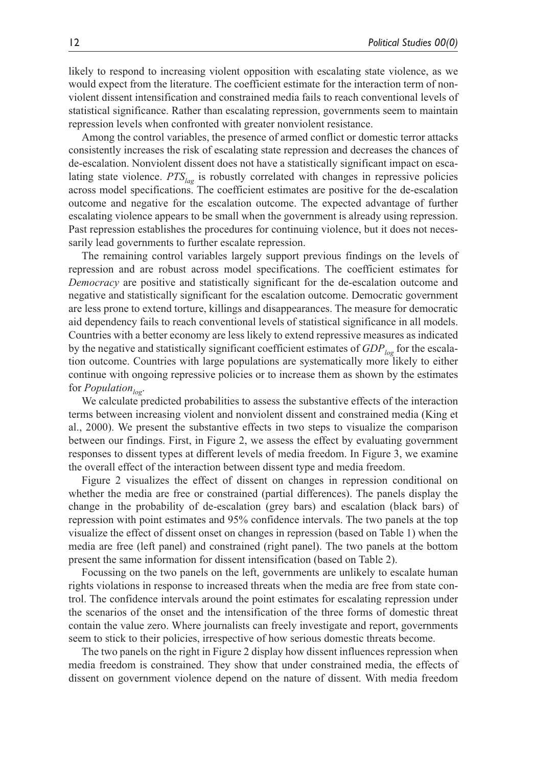likely to respond to increasing violent opposition with escalating state violence, as we would expect from the literature. The coefficient estimate for the interaction term of nonviolent dissent intensification and constrained media fails to reach conventional levels of statistical significance. Rather than escalating repression, governments seem to maintain repression levels when confronted with greater nonviolent resistance.

Among the control variables, the presence of armed conflict or domestic terror attacks consistently increases the risk of escalating state repression and decreases the chances of de-escalation. Nonviolent dissent does not have a statistically significant impact on escalating state violence. *PTS*<sub>lag</sub> is robustly correlated with changes in repressive policies across model specifications. The coefficient estimates are positive for the de-escalation outcome and negative for the escalation outcome. The expected advantage of further escalating violence appears to be small when the government is already using repression. Past repression establishes the procedures for continuing violence, but it does not necessarily lead governments to further escalate repression.

The remaining control variables largely support previous findings on the levels of repression and are robust across model specifications. The coefficient estimates for *Democracy* are positive and statistically significant for the de-escalation outcome and negative and statistically significant for the escalation outcome. Democratic government are less prone to extend torture, killings and disappearances. The measure for democratic aid dependency fails to reach conventional levels of statistical significance in all models. Countries with a better economy are less likely to extend repressive measures as indicated by the negative and statistically significant coefficient estimates of *GDP*<sub>log</sub> for the escalation outcome. Countries with large populations are systematically more likely to either continue with ongoing repressive policies or to increase them as shown by the estimates for *Population*<sub>log</sub>.

We calculate predicted probabilities to assess the substantive effects of the interaction terms between increasing violent and nonviolent dissent and constrained media (King et al., 2000). We present the substantive effects in two steps to visualize the comparison between our findings. First, in Figure 2, we assess the effect by evaluating government responses to dissent types at different levels of media freedom. In Figure 3, we examine the overall effect of the interaction between dissent type and media freedom.

Figure 2 visualizes the effect of dissent on changes in repression conditional on whether the media are free or constrained (partial differences). The panels display the change in the probability of de-escalation (grey bars) and escalation (black bars) of repression with point estimates and 95% confidence intervals. The two panels at the top visualize the effect of dissent onset on changes in repression (based on Table 1) when the media are free (left panel) and constrained (right panel). The two panels at the bottom present the same information for dissent intensification (based on Table 2).

Focussing on the two panels on the left, governments are unlikely to escalate human rights violations in response to increased threats when the media are free from state control. The confidence intervals around the point estimates for escalating repression under the scenarios of the onset and the intensification of the three forms of domestic threat contain the value zero. Where journalists can freely investigate and report, governments seem to stick to their policies, irrespective of how serious domestic threats become.

The two panels on the right in Figure 2 display how dissent influences repression when media freedom is constrained. They show that under constrained media, the effects of dissent on government violence depend on the nature of dissent. With media freedom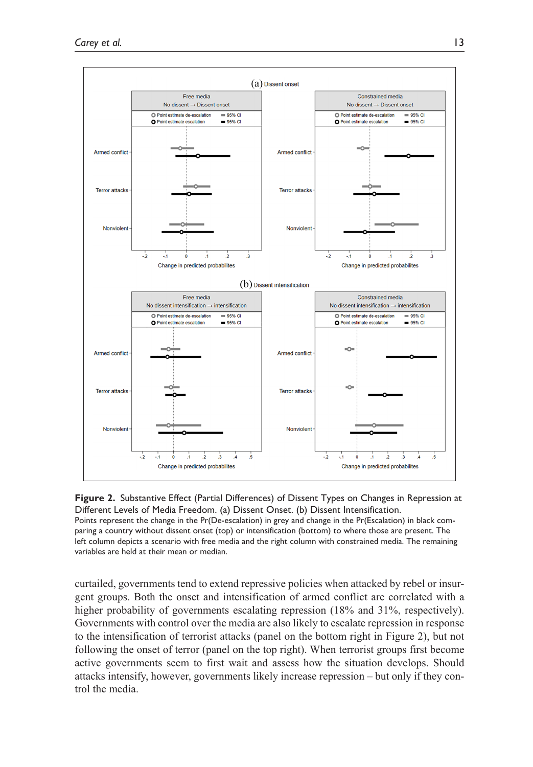

**Figure 2.** Substantive Effect (Partial Differences) of Dissent Types on Changes in Repression at Different Levels of Media Freedom. (a) Dissent Onset. (b) Dissent Intensification. Points represent the change in the Pr(De-escalation) in grey and change in the Pr(Escalation) in black comparing a country without dissent onset (top) or intensification (bottom) to where those are present. The left column depicts a scenario with free media and the right column with constrained media. The remaining variables are held at their mean or median.

curtailed, governments tend to extend repressive policies when attacked by rebel or insurgent groups. Both the onset and intensification of armed conflict are correlated with a higher probability of governments escalating repression (18% and 31%, respectively). Governments with control over the media are also likely to escalate repression in response to the intensification of terrorist attacks (panel on the bottom right in Figure 2), but not following the onset of terror (panel on the top right). When terrorist groups first become active governments seem to first wait and assess how the situation develops. Should attacks intensify, however, governments likely increase repression – but only if they control the media.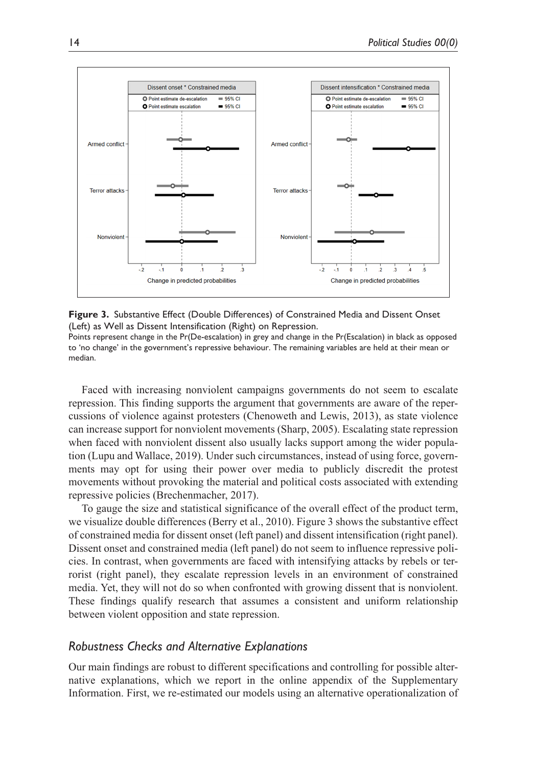

**Figure 3.** Substantive Effect (Double Differences) of Constrained Media and Dissent Onset (Left) as Well as Dissent Intensification (Right) on Repression.

Points represent change in the Pr(De-escalation) in grey and change in the Pr(Escalation) in black as opposed to 'no change' in the government's repressive behaviour. The remaining variables are held at their mean or median.

Faced with increasing nonviolent campaigns governments do not seem to escalate repression. This finding supports the argument that governments are aware of the repercussions of violence against protesters (Chenoweth and Lewis, 2013), as state violence can increase support for nonviolent movements (Sharp, 2005). Escalating state repression when faced with nonviolent dissent also usually lacks support among the wider population (Lupu and Wallace, 2019). Under such circumstances, instead of using force, governments may opt for using their power over media to publicly discredit the protest movements without provoking the material and political costs associated with extending repressive policies (Brechenmacher, 2017).

To gauge the size and statistical significance of the overall effect of the product term, we visualize double differences (Berry et al., 2010). Figure 3 shows the substantive effect of constrained media for dissent onset (left panel) and dissent intensification (right panel). Dissent onset and constrained media (left panel) do not seem to influence repressive policies. In contrast, when governments are faced with intensifying attacks by rebels or terrorist (right panel), they escalate repression levels in an environment of constrained media. Yet, they will not do so when confronted with growing dissent that is nonviolent. These findings qualify research that assumes a consistent and uniform relationship between violent opposition and state repression.

## *Robustness Checks and Alternative Explanations*

Our main findings are robust to different specifications and controlling for possible alternative explanations, which we report in the online appendix of the Supplementary Information. First, we re-estimated our models using an alternative operationalization of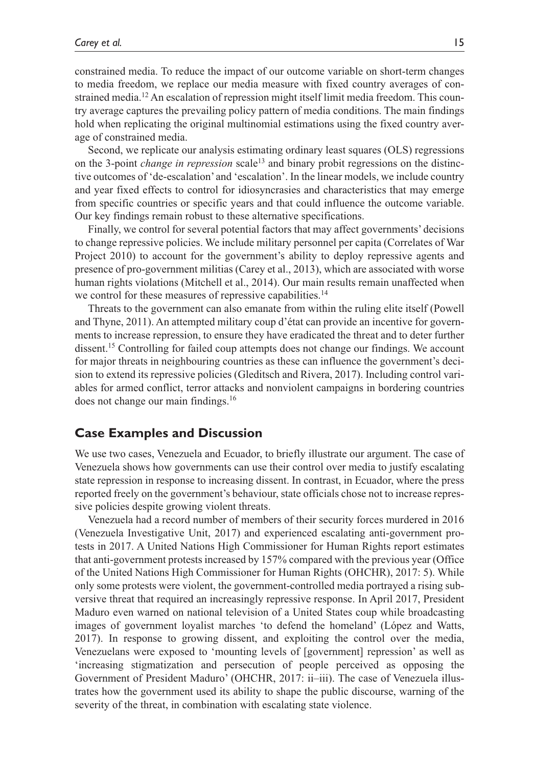constrained media. To reduce the impact of our outcome variable on short-term changes to media freedom, we replace our media measure with fixed country averages of constrained media.<sup>12</sup> An escalation of repression might itself limit media freedom. This country average captures the prevailing policy pattern of media conditions. The main findings hold when replicating the original multinomial estimations using the fixed country average of constrained media.

Second, we replicate our analysis estimating ordinary least squares (OLS) regressions on the 3-point *change in repression* scale<sup>13</sup> and binary probit regressions on the distinctive outcomes of 'de-escalation' and 'escalation'. In the linear models, we include country and year fixed effects to control for idiosyncrasies and characteristics that may emerge from specific countries or specific years and that could influence the outcome variable. Our key findings remain robust to these alternative specifications.

Finally, we control for several potential factors that may affect governments' decisions to change repressive policies. We include military personnel per capita (Correlates of War Project 2010) to account for the government's ability to deploy repressive agents and presence of pro-government militias (Carey et al., 2013), which are associated with worse human rights violations (Mitchell et al., 2014). Our main results remain unaffected when we control for these measures of repressive capabilities.<sup>14</sup>

Threats to the government can also emanate from within the ruling elite itself (Powell and Thyne, 2011). An attempted military coup d'état can provide an incentive for governments to increase repression, to ensure they have eradicated the threat and to deter further dissent.<sup>15</sup> Controlling for failed coup attempts does not change our findings. We account for major threats in neighbouring countries as these can influence the government's decision to extend its repressive policies (Gleditsch and Rivera, 2017). Including control variables for armed conflict, terror attacks and nonviolent campaigns in bordering countries does not change our main findings.<sup>16</sup>

## **Case Examples and Discussion**

We use two cases, Venezuela and Ecuador, to briefly illustrate our argument. The case of Venezuela shows how governments can use their control over media to justify escalating state repression in response to increasing dissent. In contrast, in Ecuador, where the press reported freely on the government's behaviour, state officials chose not to increase repressive policies despite growing violent threats.

Venezuela had a record number of members of their security forces murdered in 2016 (Venezuela Investigative Unit, 2017) and experienced escalating anti-government protests in 2017. A United Nations High Commissioner for Human Rights report estimates that anti-government protests increased by 157% compared with the previous year (Office of the United Nations High Commissioner for Human Rights (OHCHR), 2017: 5). While only some protests were violent, the government-controlled media portrayed a rising subversive threat that required an increasingly repressive response. In April 2017, President Maduro even warned on national television of a United States coup while broadcasting images of government loyalist marches 'to defend the homeland' (López and Watts, 2017). In response to growing dissent, and exploiting the control over the media, Venezuelans were exposed to 'mounting levels of [government] repression' as well as 'increasing stigmatization and persecution of people perceived as opposing the Government of President Maduro' (OHCHR, 2017: ii–iii). The case of Venezuela illustrates how the government used its ability to shape the public discourse, warning of the severity of the threat, in combination with escalating state violence.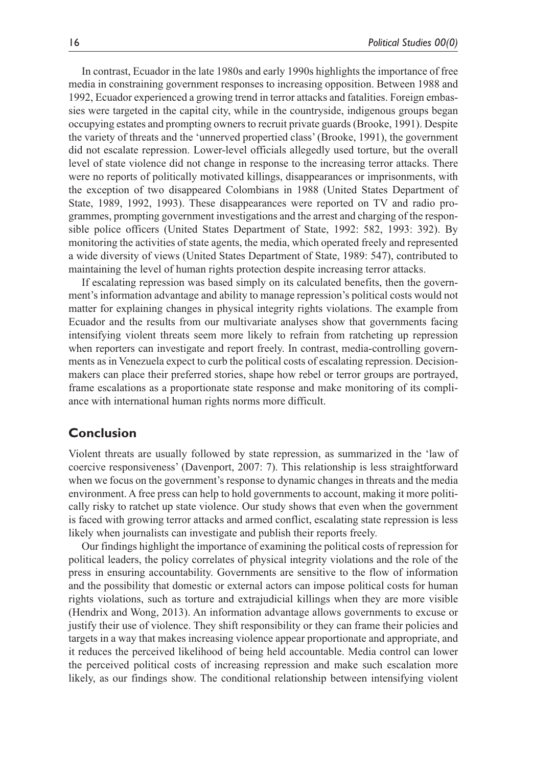In contrast, Ecuador in the late 1980s and early 1990s highlights the importance of free media in constraining government responses to increasing opposition. Between 1988 and 1992, Ecuador experienced a growing trend in terror attacks and fatalities. Foreign embassies were targeted in the capital city, while in the countryside, indigenous groups began occupying estates and prompting owners to recruit private guards (Brooke, 1991). Despite the variety of threats and the 'unnerved propertied class' (Brooke, 1991), the government did not escalate repression. Lower-level officials allegedly used torture, but the overall level of state violence did not change in response to the increasing terror attacks. There were no reports of politically motivated killings, disappearances or imprisonments, with the exception of two disappeared Colombians in 1988 (United States Department of State, 1989, 1992, 1993). These disappearances were reported on TV and radio programmes, prompting government investigations and the arrest and charging of the responsible police officers (United States Department of State, 1992: 582, 1993: 392). By monitoring the activities of state agents, the media, which operated freely and represented a wide diversity of views (United States Department of State, 1989: 547), contributed to maintaining the level of human rights protection despite increasing terror attacks.

If escalating repression was based simply on its calculated benefits, then the government's information advantage and ability to manage repression's political costs would not matter for explaining changes in physical integrity rights violations. The example from Ecuador and the results from our multivariate analyses show that governments facing intensifying violent threats seem more likely to refrain from ratcheting up repression when reporters can investigate and report freely. In contrast, media-controlling governments as in Venezuela expect to curb the political costs of escalating repression. Decisionmakers can place their preferred stories, shape how rebel or terror groups are portrayed, frame escalations as a proportionate state response and make monitoring of its compliance with international human rights norms more difficult.

## **Conclusion**

Violent threats are usually followed by state repression, as summarized in the 'law of coercive responsiveness' (Davenport, 2007: 7). This relationship is less straightforward when we focus on the government's response to dynamic changes in threats and the media environment. A free press can help to hold governments to account, making it more politically risky to ratchet up state violence. Our study shows that even when the government is faced with growing terror attacks and armed conflict, escalating state repression is less likely when journalists can investigate and publish their reports freely.

Our findings highlight the importance of examining the political costs of repression for political leaders, the policy correlates of physical integrity violations and the role of the press in ensuring accountability. Governments are sensitive to the flow of information and the possibility that domestic or external actors can impose political costs for human rights violations, such as torture and extrajudicial killings when they are more visible (Hendrix and Wong, 2013). An information advantage allows governments to excuse or justify their use of violence. They shift responsibility or they can frame their policies and targets in a way that makes increasing violence appear proportionate and appropriate, and it reduces the perceived likelihood of being held accountable. Media control can lower the perceived political costs of increasing repression and make such escalation more likely, as our findings show. The conditional relationship between intensifying violent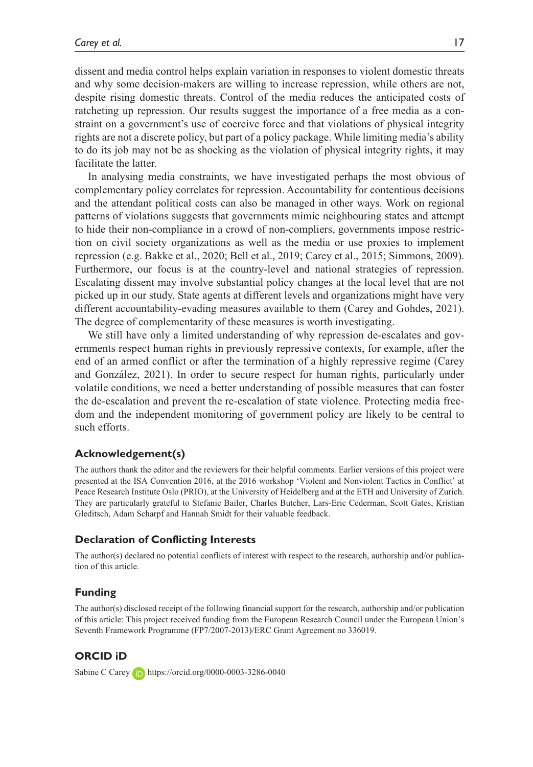dissent and media control helps explain variation in responses to violent domestic threats and why some decision-makers are willing to increase repression, while others are not, despite rising domestic threats. Control of the media reduces the anticipated costs of ratcheting up repression. Our results suggest the importance of a free media as a constraint on a government's use of coercive force and that violations of physical integrity rights are not a discrete policy, but part of a policy package. While limiting media's ability to do its job may not be as shocking as the violation of physical integrity rights, it may facilitate the latter.

In analysing media constraints, we have investigated perhaps the most obvious of complementary policy correlates for repression. Accountability for contentious decisions and the attendant political costs can also be managed in other ways. Work on regional patterns of violations suggests that governments mimic neighbouring states and attempt to hide their non-compliance in a crowd of non-compliers, governments impose restriction on civil society organizations as well as the media or use proxies to implement repression (e.g. Bakke et al., 2020; Bell et al., 2019; Carey et al., 2015; Simmons, 2009). Furthermore, our focus is at the country-level and national strategies of repression. Escalating dissent may involve substantial policy changes at the local level that are not picked up in our study. State agents at different levels and organizations might have very different accountability-evading measures available to them (Carey and Gohdes, 2021). The degree of complementarity of these measures is worth investigating.

We still have only a limited understanding of why repression de-escalates and governments respect human rights in previously repressive contexts, for example, after the end of an armed conflict or after the termination of a highly repressive regime (Carey and González, 2021). In order to secure respect for human rights, particularly under volatile conditions, we need a better understanding of possible measures that can foster the de-escalation and prevent the re-escalation of state violence. Protecting media freedom and the independent monitoring of government policy are likely to be central to such efforts.

#### **Acknowledgement(s)**

The authors thank the editor and the reviewers for their helpful comments. Earlier versions of this project were presented at the ISA Convention 2016, at the 2016 workshop 'Violent and Nonviolent Tactics in Conflict' at Peace Research Institute Oslo (PRIO), at the University of Heidelberg and at the ETH and University of Zurich. They are particularly grateful to Stefanie Bailer, Charles Butcher, Lars-Eric Cederman, Scott Gates, Kristian Gleditsch, Adam Scharpf and Hannah Smidt for their valuable feedback.

#### **Declaration of Conflicting Interests**

The author(s) declared no potential conflicts of interest with respect to the research, authorship and/or publication of this article.

#### **Funding**

The author(s) disclosed receipt of the following financial support for the research, authorship and/or publication of this article: This project received funding from the European Research Council under the European Union's Seventh Framework Programme (FP7/2007-2013)/ERC Grant Agreement no 336019.

### **ORCID iD**

Sabine C Carey **in <https://orcid.org/0000-0003-3286-0040>**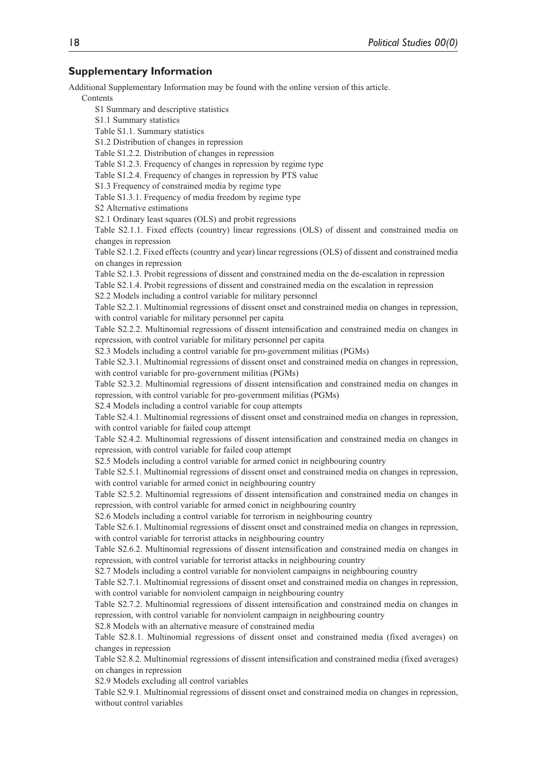#### **Supplementary Information**

Additional Supplementary Information may be found with the online version of this article.

Contents

S1 Summary and descriptive statistics S1.1 Summary statistics Table S1.1. Summary statistics S1.2 Distribution of changes in repression Table S1.2.2. Distribution of changes in repression Table S1.2.3. Frequency of changes in repression by regime type Table S1.2.4. Frequency of changes in repression by PTS value S1.3 Frequency of constrained media by regime type Table S1.3.1. Frequency of media freedom by regime type S2 Alternative estimations S2.1 Ordinary least squares (OLS) and probit regressions Table S2.1.1. Fixed effects (country) linear regressions (OLS) of dissent and constrained media on changes in repression Table S2.1.2. Fixed effects (country and year) linear regressions (OLS) of dissent and constrained media on changes in repression Table S2.1.3. Probit regressions of dissent and constrained media on the de-escalation in repression Table S2.1.4. Probit regressions of dissent and constrained media on the escalation in repression S2.2 Models including a control variable for military personnel Table S2.2.1. Multinomial regressions of dissent onset and constrained media on changes in repression, with control variable for military personnel per capita Table S2.2.2. Multinomial regressions of dissent intensification and constrained media on changes in repression, with control variable for military personnel per capita S2.3 Models including a control variable for pro-government militias (PGMs) Table S2.3.1. Multinomial regressions of dissent onset and constrained media on changes in repression, with control variable for pro-government militias (PGMs) Table S2.3.2. Multinomial regressions of dissent intensification and constrained media on changes in repression, with control variable for pro-government militias (PGMs) S2.4 Models including a control variable for coup attempts Table S2.4.1. Multinomial regressions of dissent onset and constrained media on changes in repression, with control variable for failed coup attempt Table S2.4.2. Multinomial regressions of dissent intensification and constrained media on changes in repression, with control variable for failed coup attempt S2.5 Models including a control variable for armed conict in neighbouring country Table S2.5.1. Multinomial regressions of dissent onset and constrained media on changes in repression, with control variable for armed conict in neighbouring country Table S2.5.2. Multinomial regressions of dissent intensification and constrained media on changes in repression, with control variable for armed conict in neighbouring country S2.6 Models including a control variable for terrorism in neighbouring country Table S2.6.1. Multinomial regressions of dissent onset and constrained media on changes in repression, with control variable for terrorist attacks in neighbouring country Table S2.6.2. Multinomial regressions of dissent intensification and constrained media on changes in repression, with control variable for terrorist attacks in neighbouring country S2.7 Models including a control variable for nonviolent campaigns in neighbouring country Table S2.7.1. Multinomial regressions of dissent onset and constrained media on changes in repression, with control variable for nonviolent campaign in neighbouring country Table S2.7.2. Multinomial regressions of dissent intensification and constrained media on changes in repression, with control variable for nonviolent campaign in neighbouring country S2.8 Models with an alternative measure of constrained media Table S2.8.1. Multinomial regressions of dissent onset and constrained media (fixed averages) on changes in repression Table S2.8.2. Multinomial regressions of dissent intensification and constrained media (fixed averages) on changes in repression S2.9 Models excluding all control variables Table S2.9.1. Multinomial regressions of dissent onset and constrained media on changes in repression, without control variables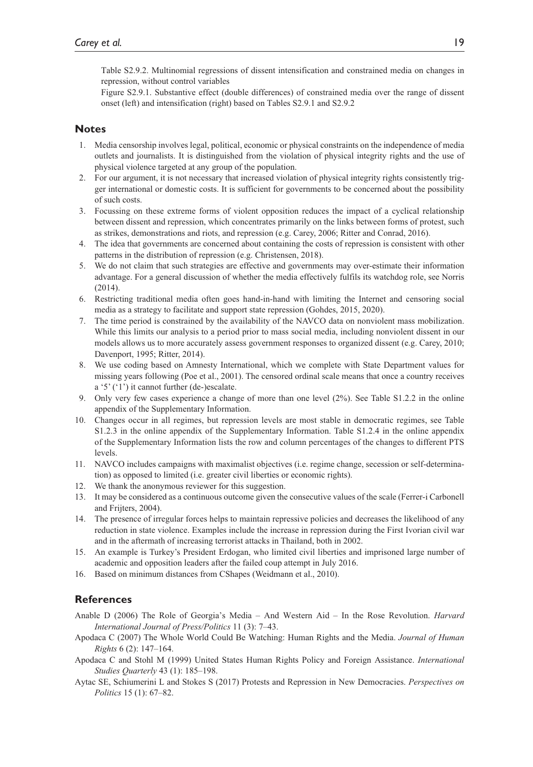Table S2.9.2. Multinomial regressions of dissent intensification and constrained media on changes in repression, without control variables

Figure S2.9.1. Substantive effect (double differences) of constrained media over the range of dissent onset (left) and intensification (right) based on Tables S2.9.1 and S2.9.2

#### **Notes**

- 1. Media censorship involves legal, political, economic or physical constraints on the independence of media outlets and journalists. It is distinguished from the violation of physical integrity rights and the use of physical violence targeted at any group of the population.
- 2. For our argument, it is not necessary that increased violation of physical integrity rights consistently trigger international or domestic costs. It is sufficient for governments to be concerned about the possibility of such costs.
- 3. Focussing on these extreme forms of violent opposition reduces the impact of a cyclical relationship between dissent and repression, which concentrates primarily on the links between forms of protest, such as strikes, demonstrations and riots, and repression (e.g. Carey, 2006; Ritter and Conrad, 2016).
- 4. The idea that governments are concerned about containing the costs of repression is consistent with other patterns in the distribution of repression (e.g. Christensen, 2018).
- 5. We do not claim that such strategies are effective and governments may over-estimate their information advantage. For a general discussion of whether the media effectively fulfils its watchdog role, see Norris (2014).
- 6. Restricting traditional media often goes hand-in-hand with limiting the Internet and censoring social media as a strategy to facilitate and support state repression (Gohdes, 2015, 2020).
- 7. The time period is constrained by the availability of the NAVCO data on nonviolent mass mobilization. While this limits our analysis to a period prior to mass social media, including nonviolent dissent in our models allows us to more accurately assess government responses to organized dissent (e.g. Carey, 2010; Davenport, 1995; Ritter, 2014).
- 8. We use coding based on Amnesty International, which we complete with State Department values for missing years following (Poe et al., 2001). The censored ordinal scale means that once a country receives a '5' ('1') it cannot further (de-)escalate.
- 9. Only very few cases experience a change of more than one level (2%). See Table S1.2.2 in the online appendix of the Supplementary Information.
- 10. Changes occur in all regimes, but repression levels are most stable in democratic regimes, see Table S1.2.3 in the online appendix of the Supplementary Information. Table S1.2.4 in the online appendix of the Supplementary Information lists the row and column percentages of the changes to different PTS levels.
- 11. NAVCO includes campaigns with maximalist objectives (i.e. regime change, secession or self-determination) as opposed to limited (i.e. greater civil liberties or economic rights).
- 12. We thank the anonymous reviewer for this suggestion.
- 13. It may be considered as a continuous outcome given the consecutive values of the scale (Ferrer-i Carbonell and Frijters, 2004).
- 14. The presence of irregular forces helps to maintain repressive policies and decreases the likelihood of any reduction in state violence. Examples include the increase in repression during the First Ivorian civil war and in the aftermath of increasing terrorist attacks in Thailand, both in 2002.
- 15. An example is Turkey's President Erdogan, who limited civil liberties and imprisoned large number of academic and opposition leaders after the failed coup attempt in July 2016.
- 16. Based on minimum distances from CShapes (Weidmann et al., 2010).

## **References**

- Anable D (2006) The Role of Georgia's Media And Western Aid In the Rose Revolution. *Harvard International Journal of Press/Politics* 11 (3): 7–43.
- Apodaca C (2007) The Whole World Could Be Watching: Human Rights and the Media. *Journal of Human Rights* 6 (2): 147–164.
- Apodaca C and Stohl M (1999) United States Human Rights Policy and Foreign Assistance. *International Studies Quarterly* 43 (1): 185–198.
- Aytac SE, Schiumerini L and Stokes S (2017) Protests and Repression in New Democracies. *Perspectives on Politics* 15 (1): 67–82.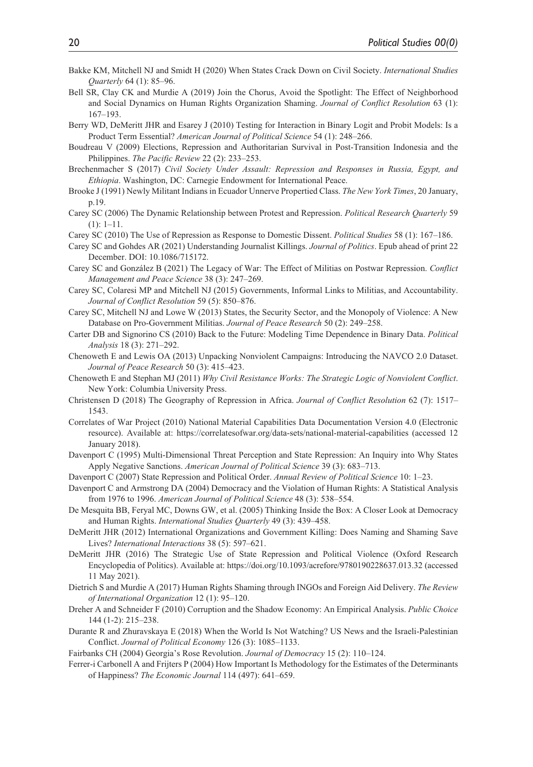- Bakke KM, Mitchell NJ and Smidt H (2020) When States Crack Down on Civil Society. *International Studies Quarterly* 64 (1): 85–96.
- Bell SR, Clay CK and Murdie A (2019) Join the Chorus, Avoid the Spotlight: The Effect of Neighborhood and Social Dynamics on Human Rights Organization Shaming. *Journal of Conflict Resolution* 63 (1): 167–193.
- Berry WD, DeMeritt JHR and Esarey J (2010) Testing for Interaction in Binary Logit and Probit Models: Is a Product Term Essential? *American Journal of Political Science* 54 (1): 248–266.
- Boudreau V (2009) Elections, Repression and Authoritarian Survival in Post-Transition Indonesia and the Philippines. *The Pacific Review* 22 (2): 233–253.
- Brechenmacher S (2017) *Civil Society Under Assault: Repression and Responses in Russia, Egypt, and Ethiopia*. Washington, DC: Carnegie Endowment for International Peace.
- Brooke J (1991) Newly Militant Indians in Ecuador Unnerve Propertied Class. *The New York Times*, 20 January, p.19.
- Carey SC (2006) The Dynamic Relationship between Protest and Repression. *Political Research Quarterly* 59  $(1): 1-11.$
- Carey SC (2010) The Use of Repression as Response to Domestic Dissent. *Political Studies* 58 (1): 167–186.
- Carey SC and Gohdes AR (2021) Understanding Journalist Killings. *Journal of Politics*. Epub ahead of print 22 December. DOI: 10.1086/715172.
- Carey SC and González B (2021) The Legacy of War: The Effect of Militias on Postwar Repression. *Conflict Management and Peace Science* 38 (3): 247–269.
- Carey SC, Colaresi MP and Mitchell NJ (2015) Governments, Informal Links to Militias, and Accountability. *Journal of Conflict Resolution* 59 (5): 850–876.
- Carey SC, Mitchell NJ and Lowe W (2013) States, the Security Sector, and the Monopoly of Violence: A New Database on Pro-Government Militias. *Journal of Peace Research* 50 (2): 249–258.
- Carter DB and Signorino CS (2010) Back to the Future: Modeling Time Dependence in Binary Data. *Political Analysis* 18 (3): 271–292.
- Chenoweth E and Lewis OA (2013) Unpacking Nonviolent Campaigns: Introducing the NAVCO 2.0 Dataset. *Journal of Peace Research* 50 (3): 415–423.
- Chenoweth E and Stephan MJ (2011) *Why Civil Resistance Works: The Strategic Logic of Nonviolent Conflict*. New York: Columbia University Press.
- Christensen D (2018) The Geography of Repression in Africa. *Journal of Conflict Resolution* 62 (7): 1517– 1543.
- Correlates of War Project (2010) National Material Capabilities Data Documentation Version 4.0 (Electronic resource). Available at: https://correlatesofwar.org/data-sets/national-material-capabilities (accessed 12 January 2018).
- Davenport C (1995) Multi-Dimensional Threat Perception and State Repression: An Inquiry into Why States Apply Negative Sanctions. *American Journal of Political Science* 39 (3): 683–713.
- Davenport C (2007) State Repression and Political Order. *Annual Review of Political Science* 10: 1–23.
- Davenport C and Armstrong DA (2004) Democracy and the Violation of Human Rights: A Statistical Analysis from 1976 to 1996. *American Journal of Political Science* 48 (3): 538–554.
- De Mesquita BB, Feryal MC, Downs GW, et al. (2005) Thinking Inside the Box: A Closer Look at Democracy and Human Rights. *International Studies Quarterly* 49 (3): 439–458.
- DeMeritt JHR (2012) International Organizations and Government Killing: Does Naming and Shaming Save Lives? *International Interactions* 38 (5): 597–621.
- DeMeritt JHR (2016) The Strategic Use of State Repression and Political Violence (Oxford Research Encyclopedia of Politics). Available at: <https://doi.org/10.1093/acrefore/9780190228637.013.32> (accessed 11 May 2021).
- Dietrich S and Murdie A (2017) Human Rights Shaming through INGOs and Foreign Aid Delivery. *The Review of International Organization* 12 (1): 95–120.
- Dreher A and Schneider F (2010) Corruption and the Shadow Economy: An Empirical Analysis. *Public Choice* 144 (1-2): 215–238.
- Durante R and Zhuravskaya E (2018) When the World Is Not Watching? US News and the Israeli-Palestinian Conflict. *Journal of Political Economy* 126 (3): 1085–1133.
- Fairbanks CH (2004) Georgia's Rose Revolution. *Journal of Democracy* 15 (2): 110–124.
- Ferrer-i Carbonell A and Frijters P (2004) How Important Is Methodology for the Estimates of the Determinants of Happiness? *The Economic Journal* 114 (497): 641–659.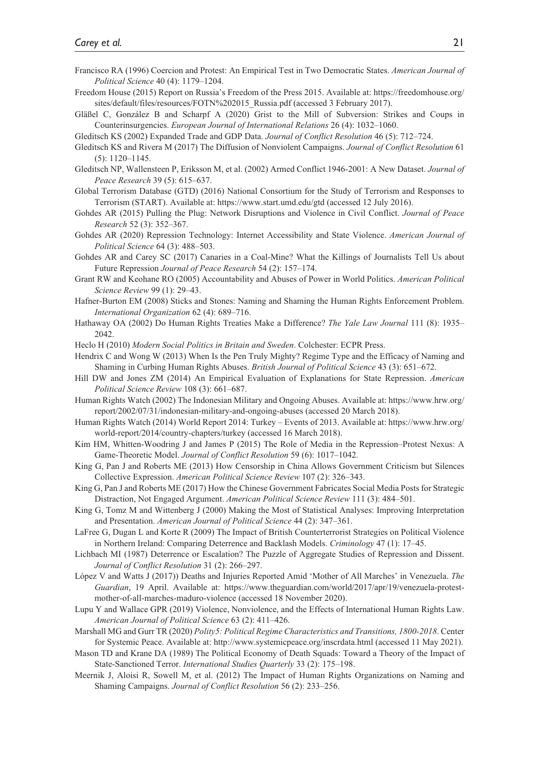- Francisco RA (1996) Coercion and Protest: An Empirical Test in Two Democratic States. *American Journal of Political Science* 40 (4): 1179–1204.
- Freedom House (2015) Report on Russia's Freedom of the Press 2015. Available at: https://freedomhouse.org/ sites/default/files/resources/FOTN%202015\_Russia.pdf (accessed 3 February 2017).
- Gläßel C, González B and Scharpf A (2020) Grist to the Mill of Subversion: Strikes and Coups in Counterinsurgencies. *European Journal of International Relations* 26 (4): 1032–1060.

Gleditsch KS (2002) Expanded Trade and GDP Data. *Journal of Conflict Resolution* 46 (5): 712–724.

- Gleditsch KS and Rivera M (2017) The Diffusion of Nonviolent Campaigns. *Journal of Conflict Resolution* 61 (5): 1120–1145.
- Gleditsch NP, Wallensteen P, Eriksson M, et al. (2002) Armed Conflict 1946-2001: A New Dataset. *Journal of Peace Research* 39 (5): 615–637.
- Global Terrorism Database (GTD) (2016) National Consortium for the Study of Terrorism and Responses to Terrorism (START). Available at: <https://www.start.umd.edu/gtd> (accessed 12 July 2016).
- Gohdes AR (2015) Pulling the Plug: Network Disruptions and Violence in Civil Conflict. *Journal of Peace Research* 52 (3): 352–367.
- Gohdes AR (2020) Repression Technology: Internet Accessibility and State Violence. *American Journal of Political Science* 64 (3): 488–503.
- Gohdes AR and Carey SC (2017) Canaries in a Coal-Mine? What the Killings of Journalists Tell Us about Future Repression *Journal of Peace Research* 54 (2): 157–174.
- Grant RW and Keohane RO (2005) Accountability and Abuses of Power in World Politics. *American Political Science Review* 99 (1): 29–43.
- Hafner-Burton EM (2008) Sticks and Stones: Naming and Shaming the Human Rights Enforcement Problem. *International Organization* 62 (4): 689–716.
- Hathaway OA (2002) Do Human Rights Treaties Make a Difference? *The Yale Law Journal* 111 (8): 1935– 2042.

Heclo H (2010) *Modern Social Politics in Britain and Sweden*. Colchester: ECPR Press.

- Hendrix C and Wong W (2013) When Is the Pen Truly Mighty? Regime Type and the Efficacy of Naming and Shaming in Curbing Human Rights Abuses. *British Journal of Political Science* 43 (3): 651–672.
- Hill DW and Jones ZM (2014) An Empirical Evaluation of Explanations for State Repression. *American Political Science Review* 108 (3): 661–687.
- Human Rights Watch (2002) The Indonesian Military and Ongoing Abuses. Available at: [https://www.hrw.org/](https://www.hrw.org/report/2002/07/31/indonesian-military-and-ongoing-abuses) [report/2002/07/31/indonesian-military-and-ongoing-abuses](https://www.hrw.org/report/2002/07/31/indonesian-military-and-ongoing-abuses) (accessed 20 March 2018).
- Human Rights Watch (2014) World Report 2014: Turkey Events of 2013. Available at: [https://www.hrw.org/](https://www.hrw.org/world-report/2014/country-chapters/turkey) [world-report/2014/country-chapters/turkey](https://www.hrw.org/world-report/2014/country-chapters/turkey) (accessed 16 March 2018).
- Kim HM, Whitten-Woodring J and James P (2015) The Role of Media in the Repression–Protest Nexus: A Game-Theoretic Model. *Journal of Conflict Resolution* 59 (6): 1017–1042.
- King G, Pan J and Roberts ME (2013) How Censorship in China Allows Government Criticism but Silences Collective Expression. *American Political Science Review* 107 (2): 326–343.
- King G, Pan J and Roberts ME (2017) How the Chinese Government Fabricates Social Media Posts for Strategic Distraction, Not Engaged Argument. *American Political Science Review* 111 (3): 484–501.
- King G, Tomz M and Wittenberg J (2000) Making the Most of Statistical Analyses: Improving Interpretation and Presentation. *American Journal of Political Science* 44 (2): 347–361.
- LaFree G, Dugan L and Korte R (2009) The Impact of British Counterterrorist Strategies on Political Violence in Northern Ireland: Comparing Deterrence and Backlash Models. *Criminology* 47 (1): 17–45.
- Lichbach MI (1987) Deterrence or Escalation? The Puzzle of Aggregate Studies of Repression and Dissent. *Journal of Conflict Resolution* 31 (2): 266–297.
- López V and Watts J (2017)) Deaths and Injuries Reported Amid 'Mother of All Marches' in Venezuela. *The Guardian*, 19 April. Available at: [https://www.theguardian.com/world/2017/apr/19/venezuela-protest](https://www.theguardian.com/world/2017/apr/19/venezuela-protest-mother-of-all-marches-maduro-violence)[mother-of-all-marches-maduro-violence](https://www.theguardian.com/world/2017/apr/19/venezuela-protest-mother-of-all-marches-maduro-violence) (accessed 18 November 2020).
- Lupu Y and Wallace GPR (2019) Violence, Nonviolence, and the Effects of International Human Rights Law. *American Journal of Political Science* 63 (2): 411–426.
- Marshall MG and Gurr TR (2020) *Polity5: Political Regime Characteristics and Transitions, 1800-2018*. Center for Systemic Peace. Available at:<http://www.systemicpeace.org/inscrdata.html>(accessed 11 May 2021).
- Mason TD and Krane DA (1989) The Political Economy of Death Squads: Toward a Theory of the Impact of State-Sanctioned Terror. *International Studies Quarterly* 33 (2): 175–198.
- Meernik J, Aloisi R, Sowell M, et al. (2012) The Impact of Human Rights Organizations on Naming and Shaming Campaigns. *Journal of Conflict Resolution* 56 (2): 233–256.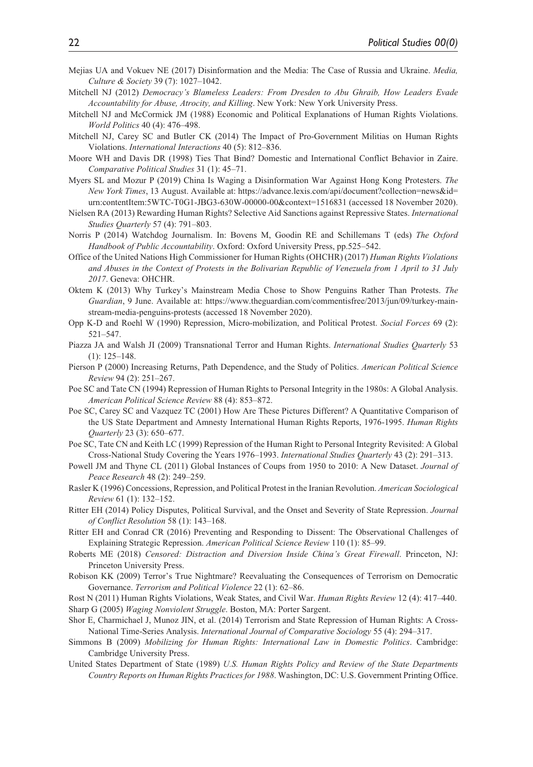- Mejias UA and Vokuev NE (2017) Disinformation and the Media: The Case of Russia and Ukraine. *Media, Culture & Society* 39 (7): 1027–1042.
- Mitchell NJ (2012) *Democracy's Blameless Leaders: From Dresden to Abu Ghraib, How Leaders Evade Accountability for Abuse, Atrocity, and Killing*. New York: New York University Press.
- Mitchell NJ and McCormick JM (1988) Economic and Political Explanations of Human Rights Violations. *World Politics* 40 (4): 476–498.
- Mitchell NJ, Carey SC and Butler CK (2014) The Impact of Pro-Government Militias on Human Rights Violations. *International Interactions* 40 (5): 812–836.
- Moore WH and Davis DR (1998) Ties That Bind? Domestic and International Conflict Behavior in Zaire. *Comparative Political Studies* 31 (1): 45–71.
- Myers SL and Mozur P (2019) China Is Waging a Disinformation War Against Hong Kong Protesters. *The New York Times*, 13 August. Available at: [https://advance.lexis.com/api/document?collection=news&id=](https://advance.lexis.com/api/document?collection=news&id=urn:contentItem:5WTC-T0G1-JBG3-630W-00000-00&context=1516831) [urn:contentItem:5WTC-T0G1-JBG3-630W-00000-00&context=1516831](https://advance.lexis.com/api/document?collection=news&id=urn:contentItem:5WTC-T0G1-JBG3-630W-00000-00&context=1516831) (accessed 18 November 2020).
- Nielsen RA (2013) Rewarding Human Rights? Selective Aid Sanctions against Repressive States. *International Studies Quarterly* 57 (4): 791–803.
- Norris P (2014) Watchdog Journalism. In: Bovens M, Goodin RE and Schillemans T (eds) *The Oxford Handbook of Public Accountability*. Oxford: Oxford University Press, pp.525–542.
- Office of the United Nations High Commissioner for Human Rights (OHCHR) (2017) *Human Rights Violations and Abuses in the Context of Protests in the Bolivarian Republic of Venezuela from 1 April to 31 July 2017*. Geneva: OHCHR.
- Oktem K (2013) Why Turkey's Mainstream Media Chose to Show Penguins Rather Than Protests. *The Guardian*, 9 June. Available at: [https://www.theguardian.com/commentisfree/2013/jun/09/turkey-main](https://www.theguardian.com/commentisfree/2013/jun/09/turkey-mainstream-media-penguins-protests)[stream-media-penguins-protests](https://www.theguardian.com/commentisfree/2013/jun/09/turkey-mainstream-media-penguins-protests) (accessed 18 November 2020).
- Opp K-D and Roehl W (1990) Repression, Micro-mobilization, and Political Protest. *Social Forces* 69 (2): 521–547.
- Piazza JA and Walsh JI (2009) Transnational Terror and Human Rights. *International Studies Quarterly* 53 (1): 125–148.
- Pierson P (2000) Increasing Returns, Path Dependence, and the Study of Politics. *American Political Science Review* 94 (2): 251–267.
- Poe SC and Tate CN (1994) Repression of Human Rights to Personal Integrity in the 1980s: A Global Analysis. *American Political Science Review* 88 (4): 853–872.
- Poe SC, Carey SC and Vazquez TC (2001) How Are These Pictures Different? A Quantitative Comparison of the US State Department and Amnesty International Human Rights Reports, 1976-1995. *Human Rights Quarterly* 23 (3): 650–677.
- Poe SC, Tate CN and Keith LC (1999) Repression of the Human Right to Personal Integrity Revisited: A Global Cross-National Study Covering the Years 1976–1993. *International Studies Quarterly* 43 (2): 291–313.
- Powell JM and Thyne CL (2011) Global Instances of Coups from 1950 to 2010: A New Dataset. *Journal of Peace Research* 48 (2): 249–259.
- Rasler K (1996) Concessions, Repression, and Political Protest in the Iranian Revolution. *American Sociological Review* 61 (1): 132–152.
- Ritter EH (2014) Policy Disputes, Political Survival, and the Onset and Severity of State Repression. *Journal of Conflict Resolution* 58 (1): 143–168.
- Ritter EH and Conrad CR (2016) Preventing and Responding to Dissent: The Observational Challenges of Explaining Strategic Repression. *American Political Science Review* 110 (1): 85–99.
- Roberts ME (2018) *Censored: Distraction and Diversion Inside China's Great Firewall*. Princeton, NJ: Princeton University Press.
- Robison KK (2009) Terror's True Nightmare? Reevaluating the Consequences of Terrorism on Democratic Governance. *Terrorism and Political Violence* 22 (1): 62–86.

Rost N (2011) Human Rights Violations, Weak States, and Civil War. *Human Rights Review* 12 (4): 417–440. Sharp G (2005) *Waging Nonviolent Struggle*. Boston, MA: Porter Sargent.

- Shor E, Charmichael J, Munoz JIN, et al. (2014) Terrorism and State Repression of Human Rights: A Cross-National Time-Series Analysis. *International Journal of Comparative Sociology* 55 (4): 294–317.
- Simmons B (2009) *Mobilizing for Human Rights: International Law in Domestic Politics*. Cambridge: Cambridge University Press.
- United States Department of State (1989) *U.S. Human Rights Policy and Review of the State Departments Country Reports on Human Rights Practices for 1988*. Washington, DC: U.S. Government Printing Office.